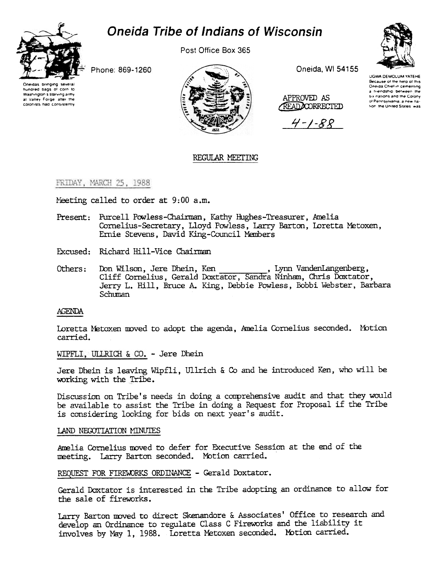



Post Office Box 365

Phone: 869-1260





Oneida, WI 54155

APPROVED AS READDOORRECTED

 $4 - 1 - 88$ 



UGWA DEMOLUM YATEHE Because of the help of this Oneida Chief in cementing a friendship between the six nations and the Colony of Pennsylvania, a new nation, the United States, was

# REGULAR MEETING

# FRIDAY, MARCH 25, 1988

Meeting called to order at 9:00 a.m.

- Present: Purcell Powless-Chairman, Kathy Hughes-Treasurer, Amelia Cornelius-Secretary, Lloyd Powless, Larry Barton, Loretta Metoxen, Ernie Stevens, David King-Council Members
- Excused: Richard Hill-Vice Chairman
- Don Wilson, Jere Dhein, Ken Others: Cliff Cornelius, Gerald Doxtator, Sandra Ninham, Chris Doxtator, Jerry L. Hill, Bruce A. King, Debbie Powless, Bobbi Webster, Barbara Schuman

# **AGENDA**

Loretta Metoxen moved to adopt the agenda, Amelia Cornelius seconded. Motion carried.

WIPFLI, ULLRICH & CO. - Jere Dhein

Jere Dhein is leaving Wipfli, Ullrich & Co and he introduced Ken, who will be working with the Tribe.

Discussion on Tribe's needs in doing a comprehensive audit and that they would be available to assist the Tribe in doing a Request for Proposal if the Tribe is considering looking for bids on next year's audit.

# LAND NEGOTIATION MINUTES

Amelia Cornelius moved to defer for Executive Session at the end of the meeting. Larry Barton seconded. Motion carried.

# REQUEST FOR FIREWORKS ORDINANCE - Gerald Doxtator.

Gerald Doxtator is interested in the Tribe adopting an ordinance to allow for the sale of fireworks.

Larry Barton moved to direct Skenandore & Associates' Office to research and develop an Ordinance to regulate Class C Fireworks and the liability it involves by May 1, 1988. Loretta Metoxen seconded. Motion carried.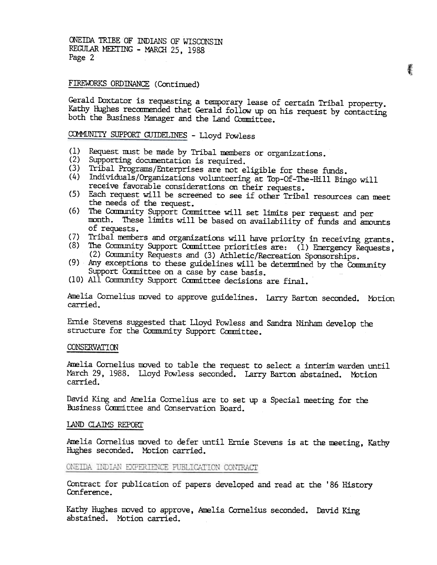ONEIDA TRIBE OF INDIANS OF WISCONSIN REGULAR MEETING - MARCH 25, 1988 Page 2

# FIREWORKS ORDINANCE (Continued)

Gerald Doxtator is requesting a temporary lease of certain Tribal property. Kathy Hughes recommended that Gerald follow up on his request by contacting both the Business Manager and the Land Committee.

# COMMUNITY SUPPORT GUIDELINES - Lloyd Powless

- (1) Request must be made by Tribal members or organizations.
- (2) Supporting documentation is required.
- (3) Tribal Programs/Enterprises are not eligible for these funds.
- (4) Individuals/Organizations volunteering at Top-Of-The-Hill Bingo will receive favorable considerations on their requests.
- (5) Each request will be screened to see if other Tribal resources can meet the needs of the request.
- (6) The Comrnunity Support Committee will set limits per request and per month. These limits will be based on availability of funds and amounts of requests.
- (7) Tribal members and organizations will have priority in receiving grants.<br>(8) The Community Support Committee priorities are: (1) Emergency Requests
- The Community Support Committee priorities are: (1) Emergency Requests, (2) Community Requests and (3) Athletic/Recreation Sponsorships.
- (9) Any exceptions to these guidelines will be determined by the Community Support Committee on a case by case basis.
- (10) All Community Support CamIittee decisions are final.

Amelia Cornelius moved to approve guidelines. Larry Barton seconded. Moti carried.

Ernie Stevens suggested that Lloyd Powless and Sandra Ninham develop the structure for the Community Support Committee.

#### CONSERVATION

Amelia Cornelius moved to table the request to select a interim warden until March 29, 1988. Lloyd Powless seconded. Larry Barton abstained. Motion carried.

David King and Amelia Cornelius are to set up a Special meeting for the Business Committee and Conservation Board.

#### LAND CLAIMS REPORT

Amelia Cornelius moved to defer until Ernie Stevens is at the meeting, Kathy Hughes seconded. Motion carried.

# ONEIDA INDIAN EXPERIENCE PUBLICATION CONTRACT

Contract for publication of papers developed and read at the '86 History Conference.

Kathy Hughes moved to approve, Amelia Cornelius seconded. David K abstained. Motion carried.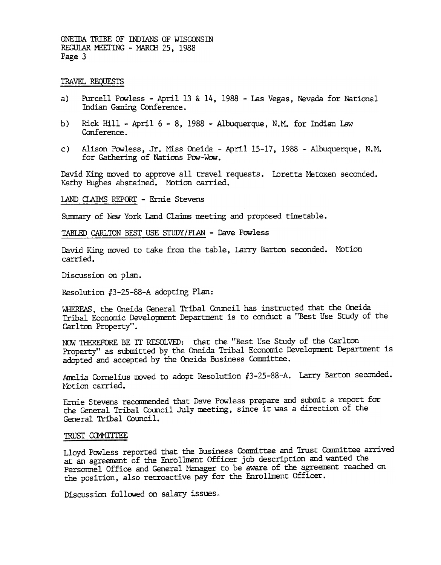ONEIDA TRIBE OF INDIANS OF WISCONSIN REGULAR MEETING - MARCH 25, 1988 Page 3

### TRAVEL REQUESTS

- a) Purcell Powless April 13 & 14, 1988 Las Vegas, Nevada for National Indian Gaming Conference.
- b) Rick Hill April  $6 8$ , 1988 Albuquerque, N.M. for Indian Law Conference .
- c) Alison Powless, Jr. Miss Oneida April 15-17, 1988 Albuquerque, N.M. for Gathering of Nations Pow-Wow.

David King moved to approve all travel requests. Loretta Metoxen seconded. Kathy Hughes abstained. Motion carried.

LAND CLAIMS REPORT - Ernie Stevens

Summary of New York Land Claims meeting and proposed timetable.

TABLED CARLTON BEST USE STUDY/PLAN - Dave Powless

David King moved to take from the table, Larry Barton seconded. Motion carried.

Discussion on plan.

Resolution  $#3-25-88-A$  adopting Plan:

WHEREAS, the Oneida General Tribal Council has instructed that the Oneida Tribal Economic Development Department is to conduct a "Best Use Study of the Carlton Property".

NOW THEREFORE BE IT RESOLVED: that the "Best Use Study of the Carlton Property" as submitted by the Oneida Tribal Economic Developnent Departnent is adopted and accepted by the Oneida Business Committee.

Amelia Cornelius moved to adopt Resolution #3-25-88-A. Larry Barton seconded. Notion carried.

Ernie Stevens recamended that Dave Pawless prepare and submit a report for the General Tribal Council July meeting, since it was a direction of the General Tribal Council.

#### TRUST COMMITTEE

Lloyd Powless reported that the Business Committee and Trust Committee arrived at an agreement of the Enrollment Officer job description and wanted the Personmel Office and General Manager to be aware of the agreement reached on the position, also retroactive pay for the Enrollment Officer.

Discussion followed on salary issues.